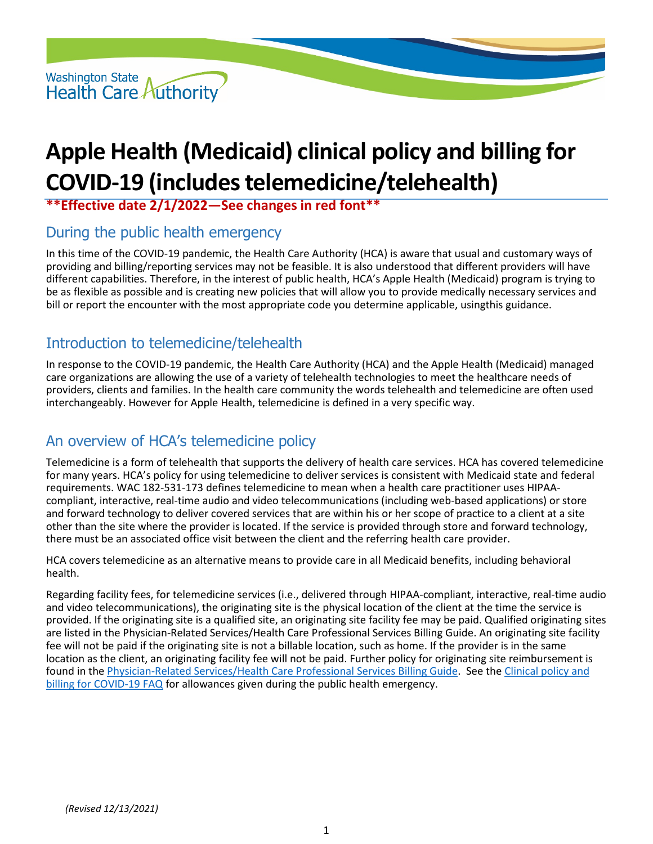

# **Apple Health (Medicaid) clinical policy and billing for COVID-19 (includes telemedicine/telehealth)**

**\*\*Effective date 2/1/2022—See changes in red font\*\***

### During the public health emergency

In this time of the COVID-19 pandemic, the Health Care Authority (HCA) is aware that usual and customary ways of providing and billing/reporting services may not be feasible. It is also understood that different providers will have different capabilities. Therefore, in the interest of public health, HCA's Apple Health (Medicaid) program is trying to be as flexible as possible and is creating new policies that will allow you to provide medically necessary services and bill or report the encounter with the most appropriate code you determine applicable, usingthis guidance.

# Introduction to telemedicine/telehealth

In response to the COVID-19 pandemic, the Health Care Authority (HCA) and the Apple Health (Medicaid) managed care organizations are allowing the use of a variety of telehealth technologies to meet the healthcare needs of providers, clients and families. In the health care community the words telehealth and telemedicine are often used interchangeably. However for Apple Health, telemedicine is defined in a very specific way.

# An overview of HCA's telemedicine policy

Telemedicine is a form of telehealth that supports the delivery of health care services. HCA has covered telemedicine for many years. HCA's policy for using telemedicine to deliver services is consistent with Medicaid state and federal requirements. WAC 182-531-173 defines telemedicine to mean when a health care practitioner uses HIPAAcompliant, interactive, real-time audio and video telecommunications (including web-based applications) or store and forward technology to deliver covered services that are within his or her scope of practice to a client at a site other than the site where the provider is located. If the service is provided through store and forward technology, there must be an associated office visit between the client and the referring health care provider.

HCA covers telemedicine as an alternative means to provide care in all Medicaid benefits, including behavioral health.

Regarding facility fees, for telemedicine services (i.e., delivered through HIPAA-compliant, interactive, real-time audio and video telecommunications), the originating site is the physical location of the client at the time the service is provided. If the originating site is a qualified site, an originating site facility fee may be paid. Qualified originating sites are listed in the Physician-Related Services/Health Care Professional Services Billing Guide. An originating site facility fee will not be paid if the originating site is not a billable location, such as home. If the provider is in the same location as the client, an originating facility fee will not be paid. Further policy for originating site reimbursement is found in the [Physician-Related Services/Health Care Professional Services](https://www.hca.wa.gov/assets/billers-and-providers/physician-related-serv-bg-20200401.pdf) Billing Guide. See the [Clinical policy and](https://www.hca.wa.gov/assets/billers-and-providers/apple-health-clinical-policy-and-billing-COVID-19-FAQ.pdf)  [billing for COVID-19 FAQ](https://www.hca.wa.gov/assets/billers-and-providers/apple-health-clinical-policy-and-billing-COVID-19-FAQ.pdf) for allowances given during the public health emergency.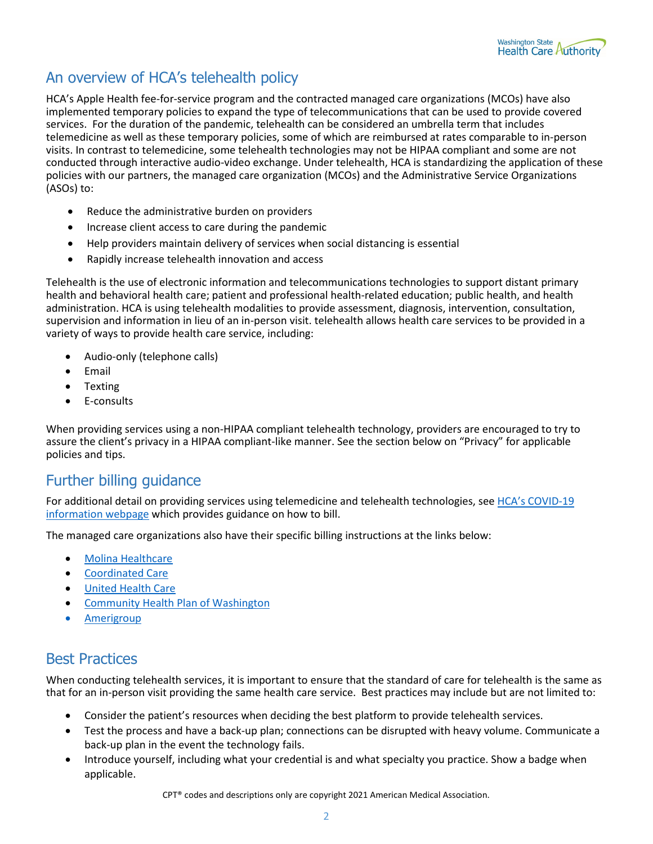

# An overview of HCA's telehealth policy

HCA's Apple Health fee-for-service program and the contracted managed care organizations (MCOs) have also implemented temporary policies to expand the type of telecommunications that can be used to provide covered services. For the duration of the pandemic, telehealth can be considered an umbrella term that includes telemedicine as well as these temporary policies, some of which are reimbursed at rates comparable to in-person visits. In contrast to telemedicine, some telehealth technologies may not be HIPAA compliant and some are not conducted through interactive audio-video exchange. Under telehealth, HCA is standardizing the application of these policies with our partners, the managed care organization (MCOs) and the Administrative Service Organizations (ASOs) to:

- Reduce the administrative burden on providers
- Increase client access to care during the pandemic
- Help providers maintain delivery of services when social distancing is essential
- Rapidly increase telehealth innovation and access

Telehealth is the use of electronic information and telecommunications technologies to support distant primary health and behavioral health care; patient and professional health-related education; public health, and health administration. HCA is using telehealth modalities to provide assessment, diagnosis, intervention, consultation, supervision and information in lieu of an in-person visit. telehealth allows health care services to be provided in a variety of ways to provide health care service, including:

- Audio-only (telephone calls)
- Email
- Texting
- E-consults

When providing services using a non-HIPAA compliant telehealth technology, providers are encouraged to try to assure the client's privacy in a HIPAA compliant-like manner. See the section below on "Privacy" for applicable policies and tips.

### Further billing guidance

For additional detail on providing services using telemedicine and telehealth technologies, see [HCA's COVID-19](https://www.hca.wa.gov/information-about-novel-coronavirus-covid-19)  [information webpage](https://www.hca.wa.gov/information-about-novel-coronavirus-covid-19) which provides guidance on how to bill.

The managed care organizations also have their specific billing instructions at the links below:

- [Molina Healthcare](https://www.molinahealthcare.com/providers/common/Pages/wacovid19.aspx)
- [Coordinated Care](https://www.coordinatedcarehealth.com/providers/coronavirus-information.html)
- [United Health Care](https://www.uhcprovider.com/en/resource-library/news/Novel-Coronavirus-COVID-19.html)
- [Community Health Plan of Washington](https://www.chpw.org/for-providers/covid-19-faqs-and-bulletins/)
- [Amerigroup](https://providers.amerigroup.com/Public%20Documents/WAWA_CAID_PU_TalkingPointsCOVID19.pdf)

### Best Practices

When conducting telehealth services, it is important to ensure that the standard of care for telehealth is the same as that for an in-person visit providing the same health care service. Best practices may include but are not limited to:

- Consider the patient's resources when deciding the best platform to provide telehealth services.
- Test the process and have a back-up plan; connections can be disrupted with heavy volume. Communicate a back-up plan in the event the technology fails.
- Introduce yourself, including what your credential is and what specialty you practice. Show a badge when applicable.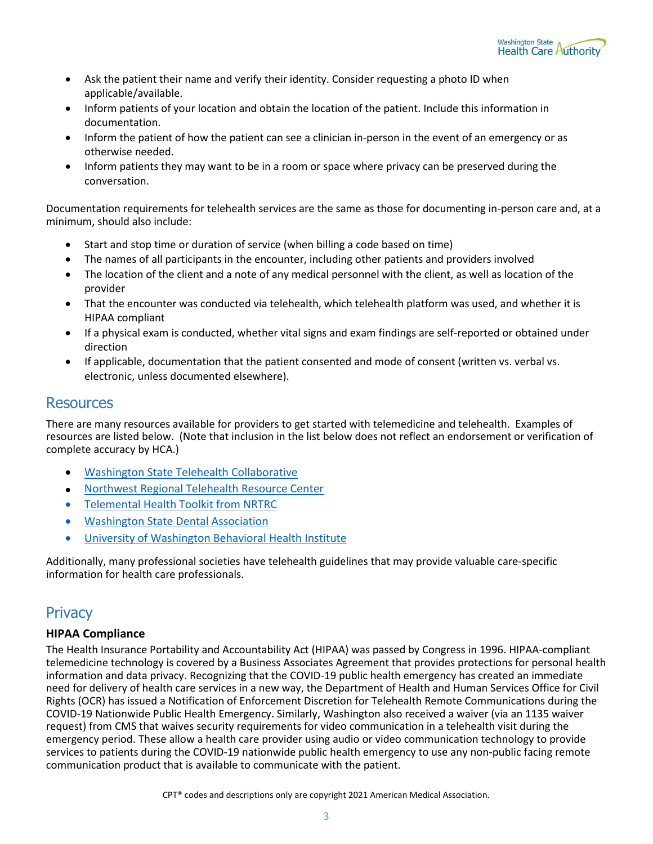

- Ask the patient their name and verify their identity. Consider requesting a photo ID when applicable/available.
- Inform patients of your location and obtain the location of the patient. Include this information in documentation.
- Inform the patient of how the patient can see a clinician in-person in the event of an emergency or as otherwise needed.
- Inform patients they may want to be in a room or space where privacy can be preserved during the conversation.

Documentation requirements for telehealth services are the same as those for documenting in-person care and, at a minimum, should also include:

- Start and stop time or duration of service (when billing a code based on time)
- The names of all participants in the encounter, including other patients and providers involved
- The location of the client and a note of any medical personnel with the client, as well as location of the provider
- That the encounter was conducted via telehealth, which telehealth platform was used, and whether it is HIPAA compliant
- If a physical exam is conducted, whether vital signs and exam findings are self-reported or obtained under direction
- If applicable, documentation that the patient consented and mode of consent (written vs. verbal vs. electronic, unless documented elsewhere).

### **Resources**

There are many resources available for providers to get started with telemedicine and telehealth. Examples of resources are listed below. (Note that inclusion in the list below does not reflect an endorsement or verification of complete accuracy by HCA.)

- [Washington State Telehealth Collaborative](https://www.wsha.org/policy-advocacy/issues/telemedicine/washington-state-telemedicine-collaborative/)
- [Northwest Regional Telehealth Resource Center](https://nrtrc.org/)
- [Telemental Health Toolkit from NRTRC](https://nrtrc.org/education-article-62)
- [Washington State Dental Association](https://www.wsda.org/news/blog/blog-details/2020/04/02/medicaid-code-updates-teledentistry-webinars)
- [University of Washington Behavioral Health Institute](https://bhi-telehealthresource.uwmedicine.org/)

Additionally, many professional societies have telehealth guidelines that may provide valuable care-specific information for health care professionals.

### **Privacy**

#### **HIPAA Compliance**

The Health Insurance Portability and Accountability Act (HIPAA) was passed by Congress in 1996. HIPAA-compliant telemedicine technology is covered by a Business Associates Agreement that provides protections for personal health information and data privacy. Recognizing that the COVID-19 public health emergency has created an immediate need for delivery of health care services in a new way, the Department of Health and Human Services Office for Civil Rights (OCR) has issued a Notification of Enforcement Discretion for Telehealth Remote Communications during the COVID-19 Nationwide Public Health Emergency. Similarly, Washington also received a waiver (via an 1135 waiver request) from CMS that waives security requirements for video communication in a telehealth visit during the emergency period. These allow a health care provider using audio or video communication technology to provide services to patients during the COVID-19 nationwide public health emergency to use any non-public facing remote communication product that is available to communicate with the patient.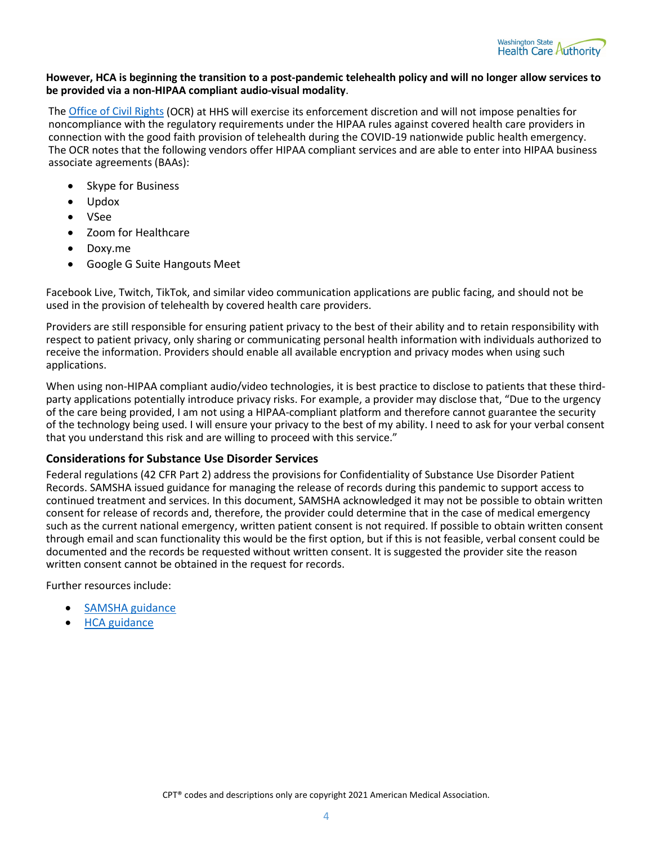

#### **However, HCA is beginning the transition to a post-pandemic telehealth policy and will no longer allow services to be provided via a non-HIPAA compliant audio-visual modality**.

The **Office of Civil Rights (OCR)** at HHS will exercise its enforcement discretion and will not impose penalties for noncompliance with the regulatory requirements under the HIPAA rules against covered health care providers in connection with the good faith provision of telehealth during the COVID-19 nationwide public health emergency. The OCR notes that the following vendors offer HIPAA compliant services and are able to enter into HIPAA business associate agreements (BAAs):

- Skype for Business
- Updox
- VSee
- Zoom for Healthcare
- Doxy.me
- Google G Suite Hangouts Meet

Facebook Live, Twitch, TikTok, and similar video communication applications are public facing, and should not be used in the provision of telehealth by covered health care providers.

Providers are still responsible for ensuring patient privacy to the best of their ability and to retain responsibility with respect to patient privacy, only sharing or communicating personal health information with individuals authorized to receive the information. Providers should enable all available encryption and privacy modes when using such applications.

When using non-HIPAA compliant audio/video technologies, it is best practice to disclose to patients that these thirdparty applications potentially introduce privacy risks. For example, a provider may disclose that, "Due to the urgency of the care being provided, I am not using a HIPAA-compliant platform and therefore cannot guarantee the security of the technology being used. I will ensure your privacy to the best of my ability. I need to ask for your verbal consent that you understand this risk and are willing to proceed with this service."

#### **Considerations for Substance Use Disorder Services**

Federal regulations (42 CFR Part 2) address the provisions for Confidentiality of Substance Use Disorder Patient Records. SAMSHA issued guidance for managing the release of records during this pandemic to support access to continued treatment and services. In this document, SAMSHA acknowledged it may not be possible to obtain written consent for release of records and, therefore, the provider could determine that in the case of medical emergency such as the current national emergency, written patient consent is not required. If possible to obtain written consent through email and scan functionality this would be the first option, but if this is not feasible, verbal consent could be documented and the records be requested without written consent. It is suggested the provider site the reason written consent cannot be obtained in the request for records.

Further resources include:

- [SAMSHA guidance](https://www.samhsa.gov/sites/default/files/covid-19-42-cfr-part-2-guidance-03192020.pdf)
- **HCA** guidance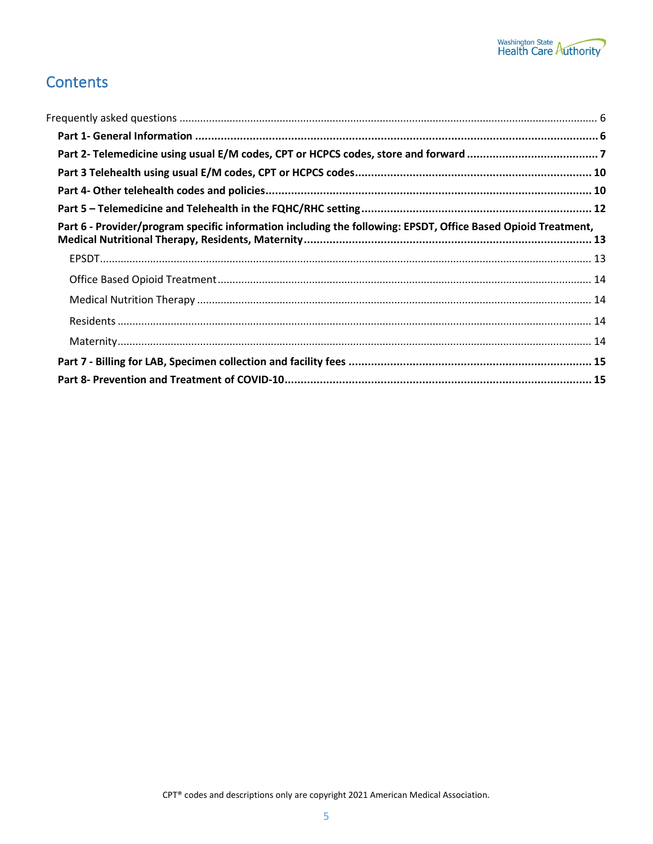

# **Contents**

| Part 6 - Provider/program specific information including the following: EPSDT, Office Based Opioid Treatment, |  |
|---------------------------------------------------------------------------------------------------------------|--|
|                                                                                                               |  |
|                                                                                                               |  |
|                                                                                                               |  |
|                                                                                                               |  |
|                                                                                                               |  |
|                                                                                                               |  |
|                                                                                                               |  |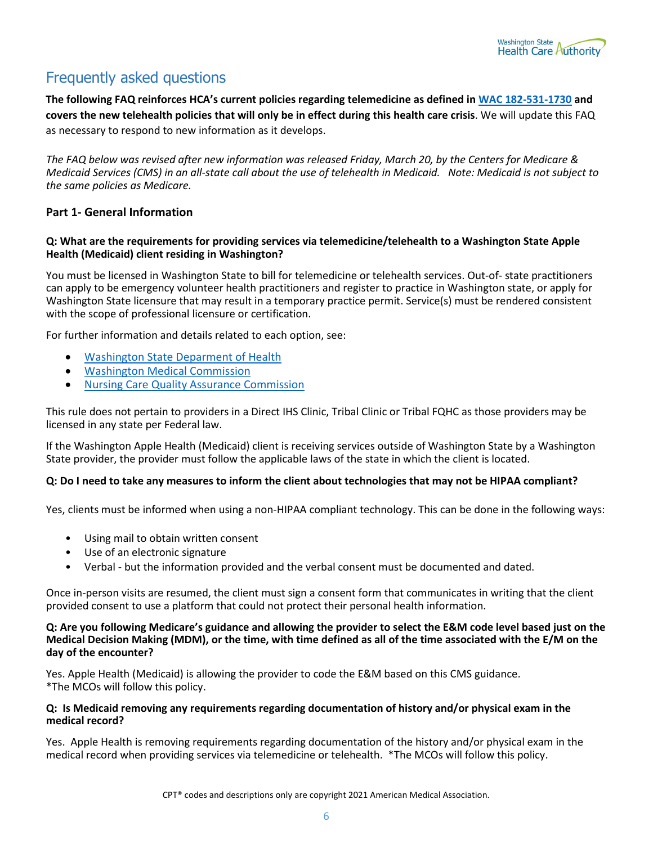

# <span id="page-5-0"></span>Frequently asked questions

**The following FAQ reinforces HCA's current policies regarding telemedicine as defined in [WAC 182-531-1730](https://apps.leg.wa.gov/wac/default.aspx?cite=182-531-1730) and covers the new telehealth policies that will only be in effect during this health care crisis**. We will update this FAQ as necessary to respond to new information as it develops.

*The FAQ below was revised after new information was released Friday, March 20, by the Centers for Medicare & Medicaid Services (CMS) in an all-state call about the use of telehealth in Medicaid. Note: Medicaid is not subject to the same policies as Medicare.* 

#### <span id="page-5-1"></span>**Part 1- General Information**

#### **Q: What are the requirements for providing services via telemedicine/telehealth to a Washington State Apple Health (Medicaid) client residing in Washington?**

You must be licensed in Washington State to bill for telemedicine or telehealth services. Out-of- state practitioners can apply to be emergency volunteer health practitioners and register to practice in Washington state, or apply for Washington State licensure that may result in a temporary practice permit. Service(s) must be rendered consistent with the scope of professional licensure or certification.

For further information and details related to each option, see:

- [Washington State Deparment of Health](https://www.doh.wa.gov/Emergencies/COVID19/HealthcareProviders)
- [Washington Medical Commission](https://wmc.wa.gov/policies-rules)
- [Nursing Care Quality Assurance Commission](https://www.doh.wa.gov/LicensesPermitsandCertificates/NursingCommission/PracticeInformation)

This rule does not pertain to providers in a Direct IHS Clinic, Tribal Clinic or Tribal FQHC as those providers may be licensed in any state per Federal law.

If the Washington Apple Health (Medicaid) client is receiving services outside of Washington State by a Washington State provider, the provider must follow the applicable laws of the state in which the client is located.

#### **Q: Do I need to take any measures to inform the client about technologies that may not be HIPAA compliant?**

Yes, clients must be informed when using a non-HIPAA compliant technology. This can be done in the following ways:

- Using mail to obtain written consent
- Use of an electronic signature
- Verbal but the information provided and the verbal consent must be documented and dated.

Once in-person visits are resumed, the client must sign a consent form that communicates in writing that the client provided consent to use a platform that could not protect their personal health information.

#### **Q: Are you following Medicare's guidance and allowing the provider to select the E&M code level based just on the Medical Decision Making (MDM), or the time, with time defined as all of the time associated with the E/M on the day of the encounter?**

Yes. Apple Health (Medicaid) is allowing the provider to code the E&M based on this CMS guidance. \*The MCOs will follow this policy.

#### **Q: Is Medicaid removing any requirements regarding documentation of history and/or physical exam in the medical record?**

Yes. Apple Health is removing requirements regarding documentation of the history and/or physical exam in the medical record when providing services via telemedicine or telehealth. \*The MCOs will follow this policy.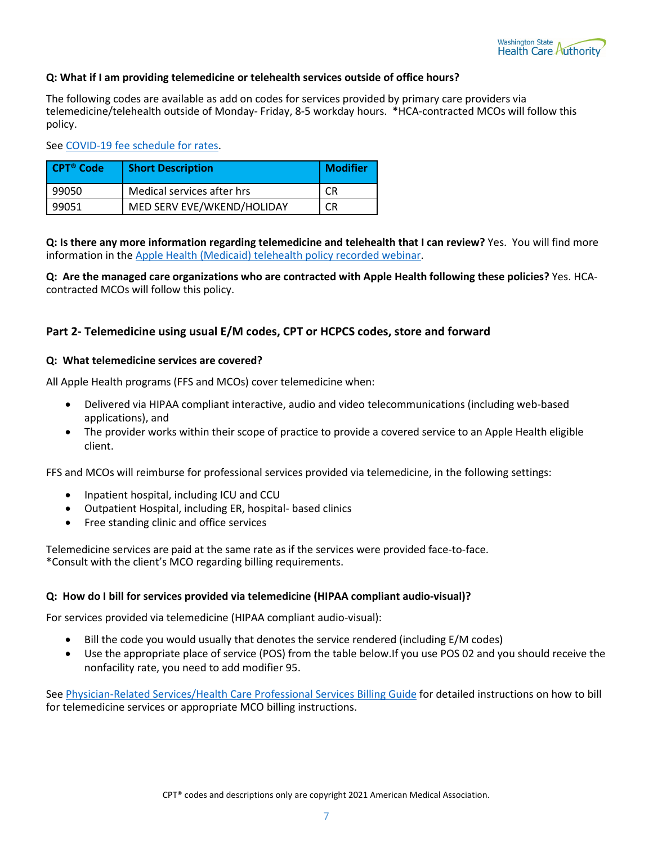

#### **Q: What if I am providing telemedicine or telehealth services outside of office hours?**

The following codes are available as add on codes for services provided by primary care providers via telemedicine/telehealth outside of Monday- Friday, 8-5 workday hours. \*HCA-contracted MCOs will follow this policy.

Se[e COVID-19 fee schedule for rates.](https://www.hca.wa.gov/billers-providers-partners/prior-authorization-claims-and-billing/provider-billing-guides-and-fee-schedules#collapse_63_accordion)

| CPT® Code | <b>Short Description</b>   | <b>Modifier</b> |
|-----------|----------------------------|-----------------|
| 99050     | Medical services after hrs | CR              |
| 99051     | MED SERV EVE/WKEND/HOLIDAY | CR              |

**Q: Is there any more information regarding telemedicine and telehealth that I can review?** Yes. You will find more information in the Apple Health (Medicaid) [telehealth policy recorded webinar.](https://www.youtube.com/watch?v=DsCl9SRMq-g&feature=youtu.be)

**Q: Are the managed care organizations who are contracted with Apple Health following these policies?** Yes. HCAcontracted MCOs will follow this policy.

#### <span id="page-6-0"></span>**Part 2- Telemedicine using usual E/M codes, CPT or HCPCS codes, store and forward**

#### **Q: What telemedicine services are covered?**

All Apple Health programs (FFS and MCOs) cover telemedicine when:

- Delivered via HIPAA compliant interactive, audio and video telecommunications (including web-based applications), and
- The provider works within their scope of practice to provide a covered service to an Apple Health eligible client.

FFS and MCOs will reimburse for professional services provided via telemedicine, in the following settings:

- Inpatient hospital, including ICU and CCU
- Outpatient Hospital, including ER, hospital- based clinics
- Free standing clinic and office services

Telemedicine services are paid at the same rate as if the services were provided face-to-face. \*Consult with the client's MCO regarding billing requirements.

#### **Q: How do I bill for services provided via telemedicine (HIPAA compliant audio-visual)?**

For services provided via telemedicine (HIPAA compliant audio-visual):

- Bill the code you would usually that denotes the service rendered (including E/M codes)
- Use the appropriate place of service (POS) from the table below.If you use POS 02 and you should receive the nonfacility rate, you need to add modifier 95.

Se[e Physician-Related Services/Health Care Professional Services](https://www.hca.wa.gov/assets/billers-and-providers/physician-related-serv-bg-20200401.pdf) Billing Guide for detailed instructions on how to bill for telemedicine services or appropriate MCO billing instructions.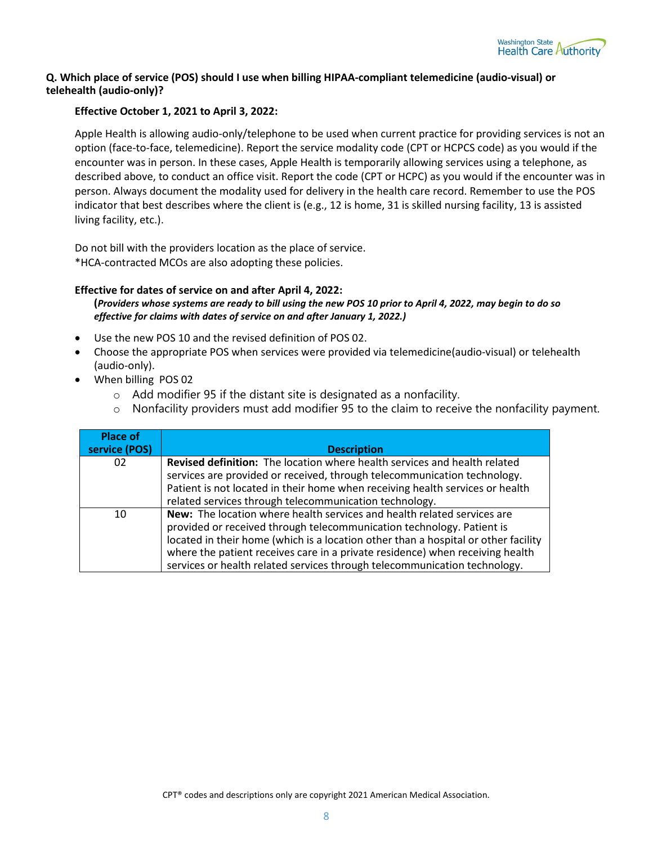

#### <span id="page-7-0"></span>**Q. Which place of service (POS) should I use when billing HIPAA-compliant telemedicine (audio-visual) or telehealth (audio-only)?**

#### **Effective October 1, 2021 to April 3, 2022:**

Apple Health is allowing audio-only/telephone to be used when current practice for providing services is not an option (face-to-face, telemedicine). Report the service modality code (CPT or HCPCS code) as you would if the encounter was in person. In these cases, Apple Health is temporarily allowing services using a telephone, as described above, to conduct an office visit. Report the code (CPT or HCPC) as you would if the encounter was in person. Always document the modality used for delivery in the health care record. Remember to use the POS indicator that best describes where the client is (e.g., 12 is home, 31 is skilled nursing facility, 13 is assisted living facility, etc.).

Do not bill with the providers location as the place of service. \*HCA-contracted MCOs are also adopting these policies.

#### **Effective for dates of service on and after April 4, 2022:**

**(***Providers whose systems are ready to bill using the new POS 10 prior to April 4, 2022, may begin to do so effective for claims with dates of service on and after January 1, 2022.)* 

- Use the new POS 10 and the revised definition of POS 02.
- Choose the appropriate POS when services were provided via telemedicine(audio-visual) or telehealth (audio-only).
- When billing POS 02
	- o Add modifier 95 if the distant site is designated as a nonfacility.
	- $\circ$  Nonfacility providers must add modifier 95 to the claim to receive the nonfacility payment.

<span id="page-7-1"></span>

| <b>Place of</b><br>service (POS) | <b>Description</b>                                                                                                                                                                                                                                                                                                                                                                                   |
|----------------------------------|------------------------------------------------------------------------------------------------------------------------------------------------------------------------------------------------------------------------------------------------------------------------------------------------------------------------------------------------------------------------------------------------------|
| 02                               | Revised definition: The location where health services and health related<br>services are provided or received, through telecommunication technology.<br>Patient is not located in their home when receiving health services or health<br>related services through telecommunication technology.                                                                                                     |
| 10                               | New: The location where health services and health related services are<br>provided or received through telecommunication technology. Patient is<br>located in their home (which is a location other than a hospital or other facility<br>where the patient receives care in a private residence) when receiving health<br>services or health related services through telecommunication technology. |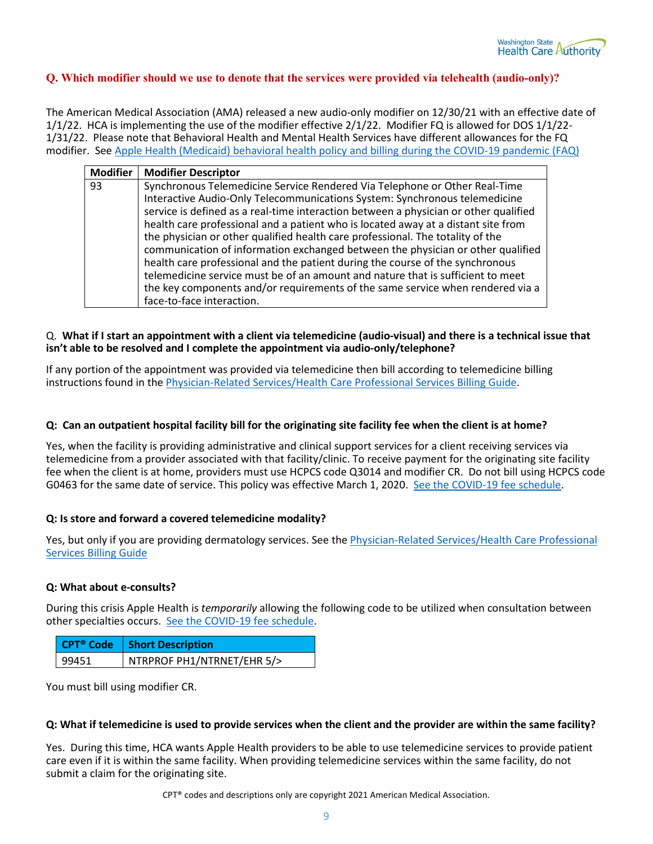

#### **Q. Which modifier should we use to denote that the services were provided via telehealth (audio-only)?**

The American Medical Association (AMA) released a new audio-only modifier on 12/30/21 with an effective date of 1/1/22. HCA is implementing the use of the modifier effective 2/1/22. Modifier FQ is allowed for DOS 1/1/22- 1/31/22. Please note that Behavioral Health and Mental Health Services have different allowances for the FQ modifier. Se[e Apple Health \(Medicaid\) behavioral health policy and billing during the COVID-19 pandemic \(FAQ\)](https://www.hca.wa.gov/assets/billers-and-providers/behavioral-health-policy-and-billing-COVID19-faq-20220201.pdf)

| <b>Modifier</b> | <b>Modifier Descriptor</b>                                                                                                                                                                                                                                                                                                                                                                                                                                                                                                                                                                                                                                                                                                                                       |
|-----------------|------------------------------------------------------------------------------------------------------------------------------------------------------------------------------------------------------------------------------------------------------------------------------------------------------------------------------------------------------------------------------------------------------------------------------------------------------------------------------------------------------------------------------------------------------------------------------------------------------------------------------------------------------------------------------------------------------------------------------------------------------------------|
| 93              | Synchronous Telemedicine Service Rendered Via Telephone or Other Real-Time<br>Interactive Audio-Only Telecommunications System: Synchronous telemedicine<br>service is defined as a real-time interaction between a physician or other qualified<br>health care professional and a patient who is located away at a distant site from<br>the physician or other qualified health care professional. The totality of the<br>communication of information exchanged between the physician or other qualified<br>health care professional and the patient during the course of the synchronous<br>telemedicine service must be of an amount and nature that is sufficient to meet<br>the key components and/or requirements of the same service when rendered via a |
|                 | face-to-face interaction.                                                                                                                                                                                                                                                                                                                                                                                                                                                                                                                                                                                                                                                                                                                                        |

#### Q. **What if I start an appointment with a client via telemedicine (audio-visual) and there is a technical issue that isn't able to be resolved and I complete the appointment via audio-only/telephone?**

If any portion of the appointment was provided via telemedicine then bill according to telemedicine billing instructions found in th[e Physician-Related Services/Health Care Professional Services](https://www.hca.wa.gov/assets/billers-and-providers/physician-related-serv-bg-20200401.pdf) Billing Guide.

#### **Q: Can an outpatient hospital facility bill for the originating site facility fee when the client is at home?**

Yes, when the facility is providing administrative and clinical support services for a client receiving services via telemedicine from a provider associated with that facility/clinic. To receive payment for the originating site facility fee when the client is at home, providers must use HCPCS code Q3014 and modifier CR. Do not bill using HCPCS code G0463 for the same date of service. This policy was effective March 1, 2020. [See the COVID-19 fee schedule.](https://www.hca.wa.gov/node/301)

#### **Q: Is store and forward a covered telemedicine modality?**

Yes, but only if you are providing dermatology services. See the [Physician-Related Services/Health Care Professional](https://www.hca.wa.gov/assets/billers-and-providers/physician-related-serv-bg-20200401.pdf)  Services [Billing Guide](https://www.hca.wa.gov/assets/billers-and-providers/physician-related-serv-bg-20200401.pdf)

#### **Q: What about e-consults?**

During this crisis Apple Health is *temporarily* allowing the following code to be utilized when consultation between other specialties occurs. [See the COVID-19 fee schedule.](https://www.hca.wa.gov/node/301)

|       | CPT <sup>®</sup> Code   Short Description |
|-------|-------------------------------------------|
| 99451 | NTRPROF PH1/NTRNET/EHR 5/>                |

You must bill using modifier CR.

#### **Q: What if telemedicine is used to provide services when the client and the provider are within the same facility?**

Yes. During this time, HCA wants Apple Health providers to be able to use telemedicine services to provide patient care even if it is within the same facility. When providing telemedicine services within the same facility, do not submit a claim for the originating site.

CPT® codes and descriptions only are copyright 2021 American Medical Association.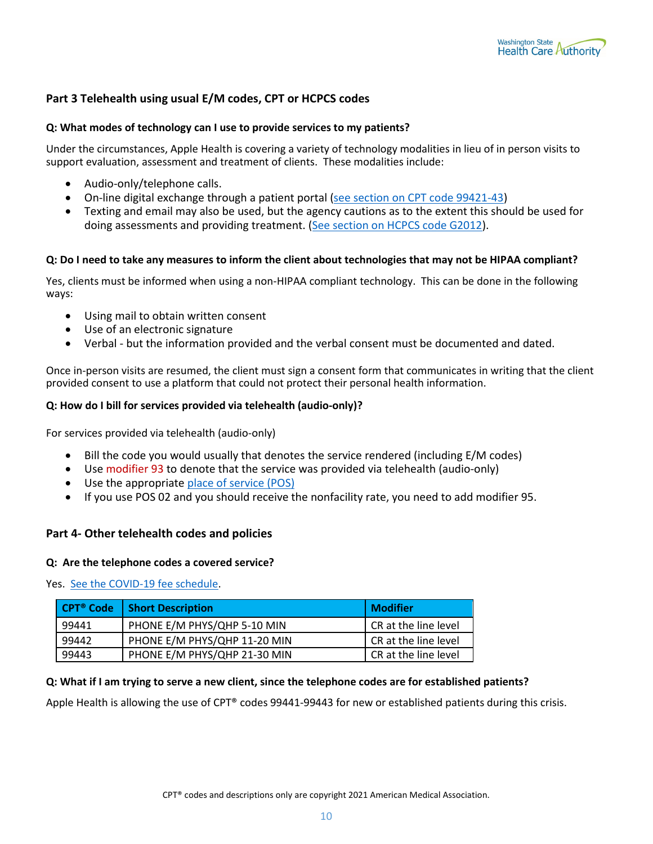

#### <span id="page-9-0"></span>**Part 3 Telehealth using usual E/M codes, CPT or HCPCS codes**

#### **Q: What modes of technology can I use to provide services to my patients?**

Under the circumstances, Apple Health is covering a variety of technology modalities in lieu of in person visits to support evaluation, assessment and treatment of clients. These modalities include:

- Audio-only/telephone calls.
- On-line digital exchange through a patient portal [\(see section on CPT code 99421-43\)](#page-10-0)
- Texting and email may also be used, but the agency cautions as to the extent this should be used for doing assessments and providing treatment. [\(See section on HCPCS code G2012\)](#page-10-1).

#### **Q: Do I need to take any measures to inform the client about technologies that may not be HIPAA compliant?**

Yes, clients must be informed when using a non-HIPAA compliant technology. This can be done in the following ways:

- Using mail to obtain written consent
- Use of an electronic signature
- Verbal but the information provided and the verbal consent must be documented and dated.

Once in-person visits are resumed, the client must sign a consent form that communicates in writing that the client provided consent to use a platform that could not protect their personal health information.

#### **Q: How do I bill for services provided via telehealth (audio-only)?**

For services provided via telehealth (audio-only)

- Bill the code you would usually that denotes the service rendered (including E/M codes)
- Use modifier 93 to denote that the service was provided via telehealth (audio-only)
- Use the appropriat[e place of service \(POS\)](#page-7-0)
- If you use POS 02 and you should receive the nonfacility rate, you need to add modifier 95.

#### <span id="page-9-1"></span>**Part 4- Other telehealth codes and policies**

#### **Q: Are the telephone codes a covered service?**

Yes. [See the COVID-19 fee schedule.](https://www.hca.wa.gov/node/301)

| <b>CPT<sup>®</sup> Code</b> | <b>Short Description</b>     | Modifier             |
|-----------------------------|------------------------------|----------------------|
| 99441                       | PHONE E/M PHYS/QHP 5-10 MIN  | CR at the line level |
| 99442                       | PHONE E/M PHYS/QHP 11-20 MIN | CR at the line level |
| 99443                       | PHONE E/M PHYS/QHP 21-30 MIN | CR at the line level |

#### **Q: What if I am trying to serve a new client, since the telephone codes are for established patients?**

Apple Health is allowing the use of CPT® codes 99441-99443 for new or established patients during this crisis.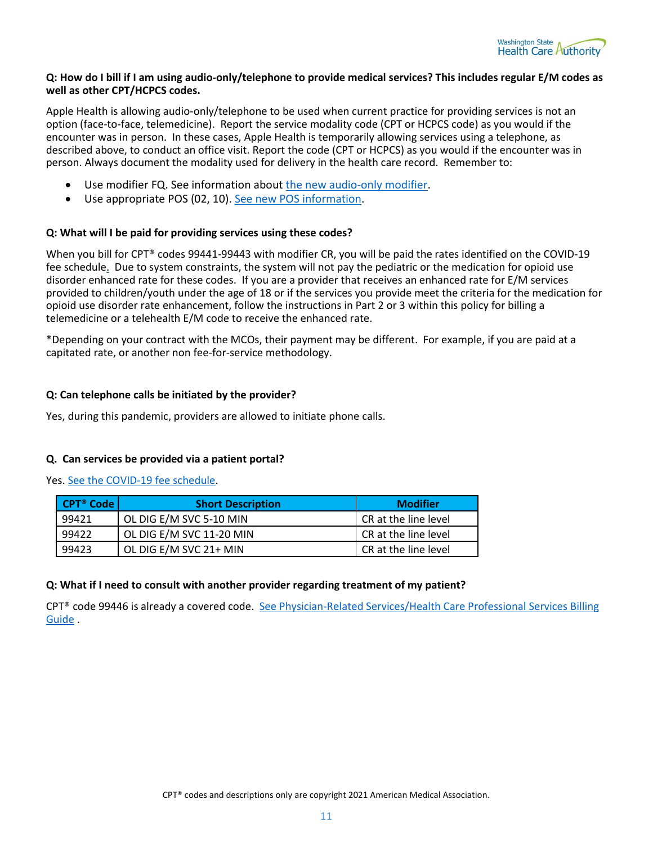

#### **Q: How do I bill if I am using audio-only/telephone to provide medical services? This includes regular E/M codes as well as other CPT/HCPCS codes.**

Apple Health is allowing audio-only/telephone to be used when current practice for providing services is not an option (face-to-face, telemedicine). Report the service modality code (CPT or HCPCS code) as you would if the encounter was in person. In these cases, Apple Health is temporarily allowing services using a telephone, as described above, to conduct an office visit. Report the code (CPT or HCPCS) as you would if the encounter was in person. Always document the modality used for delivery in the health care record. Remember to:

- Use modifier FQ. See information about [the new audio-only modifier.](#page-7-1)
- Use appropriate POS (02, 10). [See new POS information.](#page-7-0)

#### **Q: What will I be paid for providing services using these codes?**

When you bill for CPT® codes 99441-99443 with modifier CR, you will be paid the rates identified on the COVID-19 fee schedule[.](https://www.hca.wa.gov/billers-providers-partners/prior-authorization-claims-and-billing/provider-billing-guides-and-fee-schedules#collapse_63_accordion) Due to system constraints, the system will not pay the pediatric or the medication for opioid use disorder enhanced rate for these codes. If you are a provider that receives an enhanced rate for E/M services provided to children/youth under the age of 18 or if the services you provide meet the criteria for the medication for opioid use disorder rate enhancement, follow the instructions in Part 2 or 3 within this policy for billing a telemedicine or a telehealth E/M code to receive the enhanced rate.

\*Depending on your contract with the MCOs, their payment may be different. For example, if you are paid at a capitated rate, or another non fee-for-service methodology.

#### **Q: Can telephone calls be initiated by the provider?**

Yes, during this pandemic, providers are allowed to initiate phone calls.

#### <span id="page-10-0"></span>**Q. Can services be provided via a patient portal?**

Yes. [See the COVID-19 fee schedule.](https://www.hca.wa.gov/node/301)

| <b>CPT<sup>®</sup> Code</b> | <b>Short Description</b> | <b>Modifier</b>      |
|-----------------------------|--------------------------|----------------------|
| 99421                       | OL DIG E/M SVC 5-10 MIN  | CR at the line level |
| 99422                       | OL DIG E/M SVC 11-20 MIN | CR at the line level |
| 99423                       | OL DIG E/M SVC 21+ MIN   | CR at the line level |

#### **Q: What if I need to consult with another provider regarding treatment of my patient?**

<span id="page-10-1"></span>CPT® code 99446 is already a covered code. [See Physician-Related Services/Health Care Professional Services](https://www.hca.wa.gov/billers-providers-partners/prior-authorization-claims-and-billing/provider-billing-guides-and-fee-schedules#collapse_46_accordion) Billing [Guide](https://www.hca.wa.gov/billers-providers-partners/prior-authorization-claims-and-billing/provider-billing-guides-and-fee-schedules#collapse_46_accordion) [.](https://www.hca.wa.gov/billers-providers-partners/prior-authorization-claims-and-billing/provider-billing-guides-and-fee-schedules#collapse_46_accordion)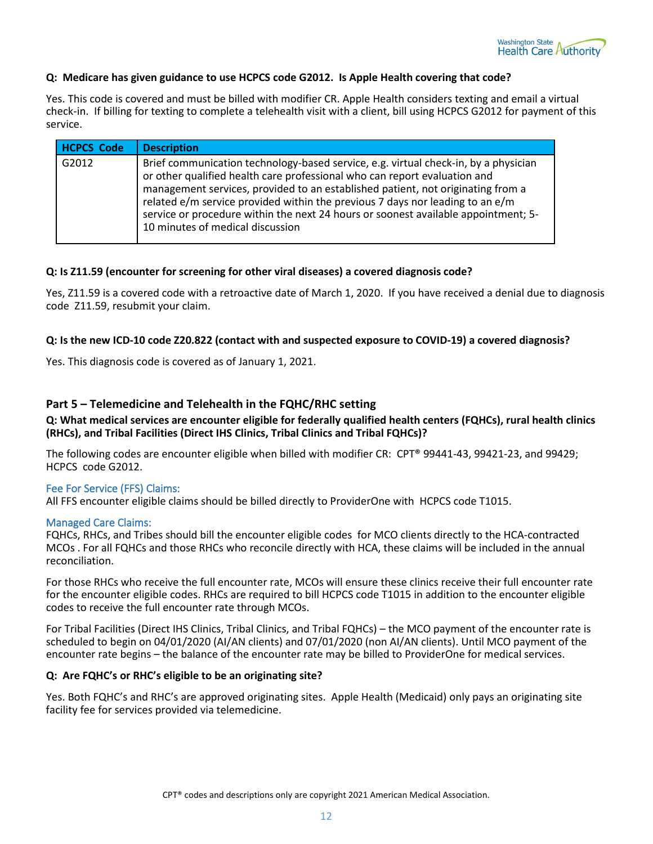

#### **Q: Medicare has given guidance to use HCPCS code G2012. Is Apple Health covering that code?**

Yes. This code is covered and must be billed with modifier CR. Apple Health considers texting and email a virtual check-in. If billing for texting to complete a telehealth visit with a client, bill using HCPCS G2012 for payment of this service.

| <b>HCPCS Code</b> | <b>Description</b>                                                                                                                                                                                                                                                                                                                                                                                                                                             |
|-------------------|----------------------------------------------------------------------------------------------------------------------------------------------------------------------------------------------------------------------------------------------------------------------------------------------------------------------------------------------------------------------------------------------------------------------------------------------------------------|
| G2012             | Brief communication technology-based service, e.g. virtual check-in, by a physician<br>or other qualified health care professional who can report evaluation and<br>management services, provided to an established patient, not originating from a<br>related e/m service provided within the previous 7 days nor leading to an e/m<br>service or procedure within the next 24 hours or soonest available appointment; 5-<br>10 minutes of medical discussion |

#### **Q: Is Z11.59 (encounter for screening for other viral diseases) a covered diagnosis code?**

Yes, Z11.59 is a covered code with a retroactive date of March 1, 2020. If you have received a denial due to diagnosis code Z11.59, resubmit your claim.

#### **Q: Is the new ICD-10 code Z20.822 (contact with and suspected exposure to COVID-19) a covered diagnosis?**

Yes. This diagnosis code is covered as of January 1, 2021.

#### <span id="page-11-0"></span>**Part 5 – Telemedicine and Telehealth in the FQHC/RHC setting**

**Q: What medical services are encounter eligible for federally qualified health centers (FQHCs), rural health clinics (RHCs), and Tribal Facilities (Direct IHS Clinics, Tribal Clinics and Tribal FQHCs)?**

The following codes are encounter eligible when billed with modifier CR: CPT® 99441-43, 99421-23, and 99429; HCPCS code G2012.

#### Fee For Service (FFS) Claims:

All FFS encounter eligible claims should be billed directly to ProviderOne with HCPCS code T1015.

#### Managed Care Claims:

FQHCs, RHCs, and Tribes should bill the encounter eligible codes for MCO clients directly to the HCA-contracted MCOs . For all FQHCs and those RHCs who reconcile directly with HCA, these claims will be included in the annual reconciliation.

For those RHCs who receive the full encounter rate, MCOs will ensure these clinics receive their full encounter rate for the encounter eligible codes. RHCs are required to bill HCPCS code T1015 in addition to the encounter eligible codes to receive the full encounter rate through MCOs.

For Tribal Facilities (Direct IHS Clinics, Tribal Clinics, and Tribal FQHCs) – the MCO payment of the encounter rate is scheduled to begin on 04/01/2020 (AI/AN clients) and 07/01/2020 (non AI/AN clients). Until MCO payment of the encounter rate begins – the balance of the encounter rate may be billed to ProviderOne for medical services.

#### **Q: Are FQHC's or RHC's eligible to be an originating site?**

Yes. Both FQHC's and RHC's are approved originating sites. Apple Health (Medicaid) only pays an originating site facility fee for services provided via telemedicine.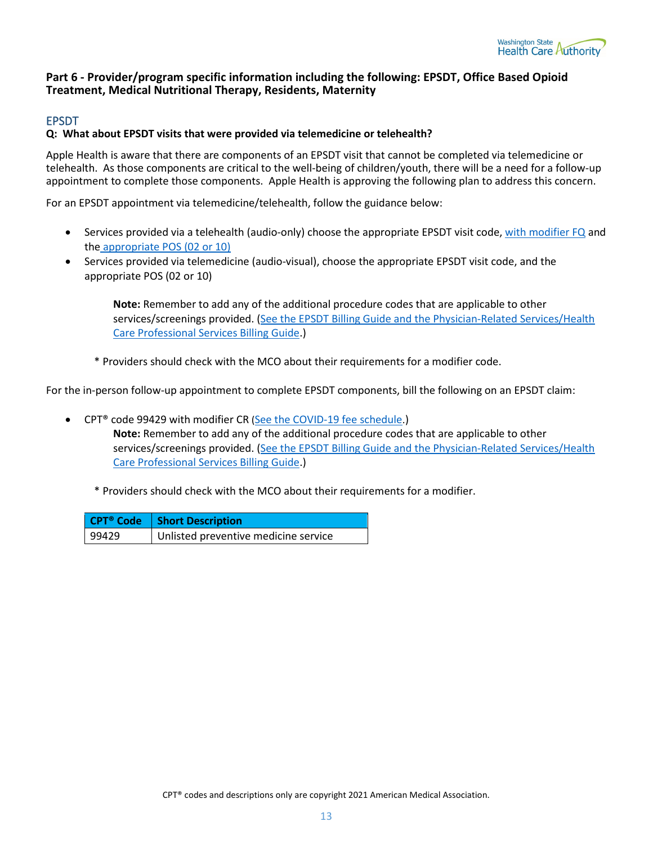

#### <span id="page-12-0"></span>**Part 6 - Provider/program specific information including the following: EPSDT, Office Based Opioid Treatment, Medical Nutritional Therapy, Residents, Maternity**

#### <span id="page-12-1"></span>EPSDT

#### **Q: What about EPSDT visits that were provided via telemedicine or telehealth?**

Apple Health is aware that there are components of an EPSDT visit that cannot be completed via telemedicine or telehealth. As those components are critical to the well-being of children/youth, there will be a need for a follow-up appointment to complete those components. Apple Health is approving the following plan to address this concern.

For an EPSDT appointment via telemedicine/telehealth, follow the guidance below:

- Services provided via a telehealth (audio-only) choose the appropriate EPSDT visit code[, with modifier FQ](#page-7-1) and the [appropriate POS \(02 or 10\)](#page-7-0)
- Services provided via telemedicine (audio-visual), choose the appropriate EPSDT visit code, and the appropriate POS (02 or 10)

**Note:** Remember to add any of the additional procedure codes that are applicable to other services/screenings provided. [\(See the EPSDT Billing Guide and the Physician-Related Services/Health](https://www.hca.wa.gov/billers-providers-partners/prior-authorization-claims-and-billing/provider-billing-guides-and-fee-schedules#collapse_46_accordion)  [Care Professional Services Billing Guide.\)](https://www.hca.wa.gov/billers-providers-partners/prior-authorization-claims-and-billing/provider-billing-guides-and-fee-schedules#collapse_46_accordion)

\* Providers should check with the MCO about their requirements for a modifier code.

For the in-person follow-up appointment to complete EPSDT components, bill the following on an EPSDT claim:

- CPT® code 99429 with modifier CR [\(See the COVID-19 fee schedule](https://www.hca.wa.gov/node/301).) **Note:** Remember to add any of the additional procedure codes that are applicable to other services/screenings provided. [\(See the EPSDT Billing Guide and the Physician-Related Services/Health](https://www.hca.wa.gov/billers-providers-partners/prior-authorization-claims-and-billing/provider-billing-guides-and-fee-schedules#collapse_46_accordion)  [Care Professional Services Billing Guide.\)](https://www.hca.wa.gov/billers-providers-partners/prior-authorization-claims-and-billing/provider-billing-guides-and-fee-schedules#collapse_46_accordion)
	- \* Providers should check with the MCO about their requirements for a modifier.

<span id="page-12-2"></span>

|       | CPT <sup>®</sup> Code   Short Description |
|-------|-------------------------------------------|
| 99429 | Unlisted preventive medicine service      |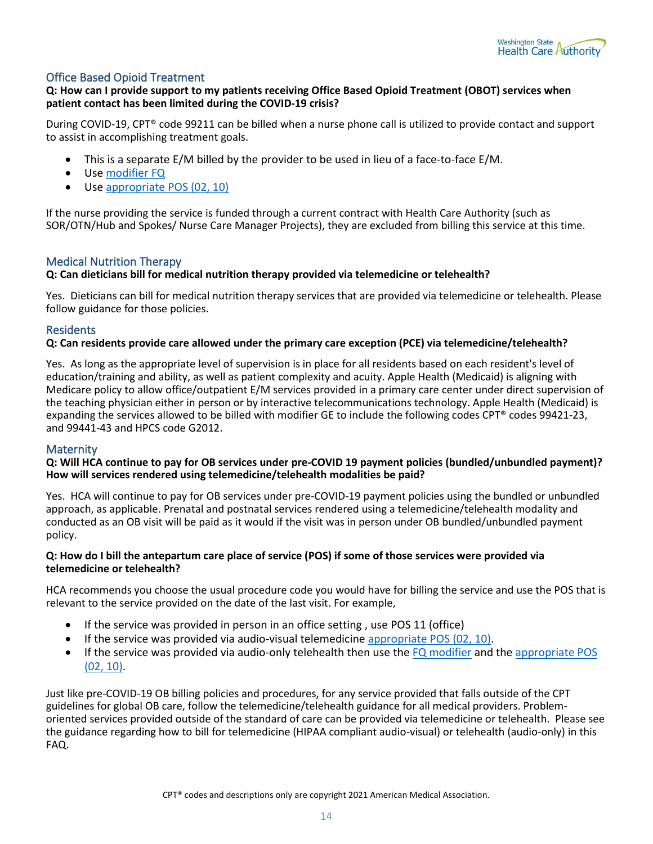

#### Office Based Opioid Treatment

#### **Q: How can I provide support to my patients receiving Office Based Opioid Treatment (OBOT) services when patient contact has been limited during the COVID-19 crisis?**

During COVID-19, CPT® code 99211 can be billed when a nurse phone call is utilized to provide contact and support to assist in accomplishing treatment goals.

- This is a separate E/M billed by the provider to be used in lieu of a face-to-face E/M.
- Use [modifier FQ](#page-7-1)
- Use [appropriate POS \(02, 10\)](#page-7-0)

If the nurse providing the service is funded through a current contract with Health Care Authority (such as SOR/OTN/Hub and Spokes/ Nurse Care Manager Projects), they are excluded from billing this service at this time.

#### <span id="page-13-0"></span>Medical Nutrition Therapy

#### **Q: Can dieticians bill for medical nutrition therapy provided via telemedicine or telehealth?**

Yes. Dieticians can bill for medical nutrition therapy services that are provided via telemedicine or telehealth. Please follow guidance for those policies.

#### <span id="page-13-1"></span>Residents

#### **Q: Can residents provide care allowed under the primary care exception (PCE) via telemedicine/telehealth?**

Yes. As long as the appropriate level of supervision is in place for all residents based on each resident's level of education/training and ability, as well as patient complexity and acuity. Apple Health (Medicaid) is aligning with Medicare policy to allow office/outpatient E/M services provided in a primary care center under direct supervision of the teaching physician either in person or by interactive telecommunications technology. Apple Health (Medicaid) is expanding the services allowed to be billed with modifier GE to include the following codes CPT® codes 99421-23, and 99441-43 and HPCS code G2012.

#### <span id="page-13-2"></span>**Maternity**

#### **Q: Will HCA continue to pay for OB services under pre-COVID 19 payment policies (bundled/unbundled payment)? How will services rendered using telemedicine/telehealth modalities be paid?**

Yes. HCA will continue to pay for OB services under pre-COVID-19 payment policies using the bundled or unbundled approach, as applicable. Prenatal and postnatal services rendered using a telemedicine/telehealth modality and conducted as an OB visit will be paid as it would if the visit was in person under OB bundled/unbundled payment policy.

#### **Q: How do I bill the antepartum care place of service (POS) if some of those services were provided via telemedicine or telehealth?**

HCA recommends you choose the usual procedure code you would have for billing the service and use the POS that is relevant to the service provided on the date of the last visit. For example,

- If the service was provided in person in an office setting, use POS 11 (office)
- If the service was provided via audio-visual telemedicine [appropriate POS \(02, 10\).](#page-7-0)
- If the service was provided via audio-only telehealth then use the [FQ modifier](#page-7-1) and the appropriate POS [\(02, 10\).](#page-7-0)

Just like pre-COVID-19 OB billing policies and procedures, for any service provided that falls outside of the CPT guidelines for global OB care, follow the telemedicine/telehealth guidance for all medical providers. Problemoriented services provided outside of the standard of care can be provided via telemedicine or telehealth. Please see the guidance regarding how to bill for telemedicine (HIPAA compliant audio-visual) or telehealth (audio-only) in this FAQ.